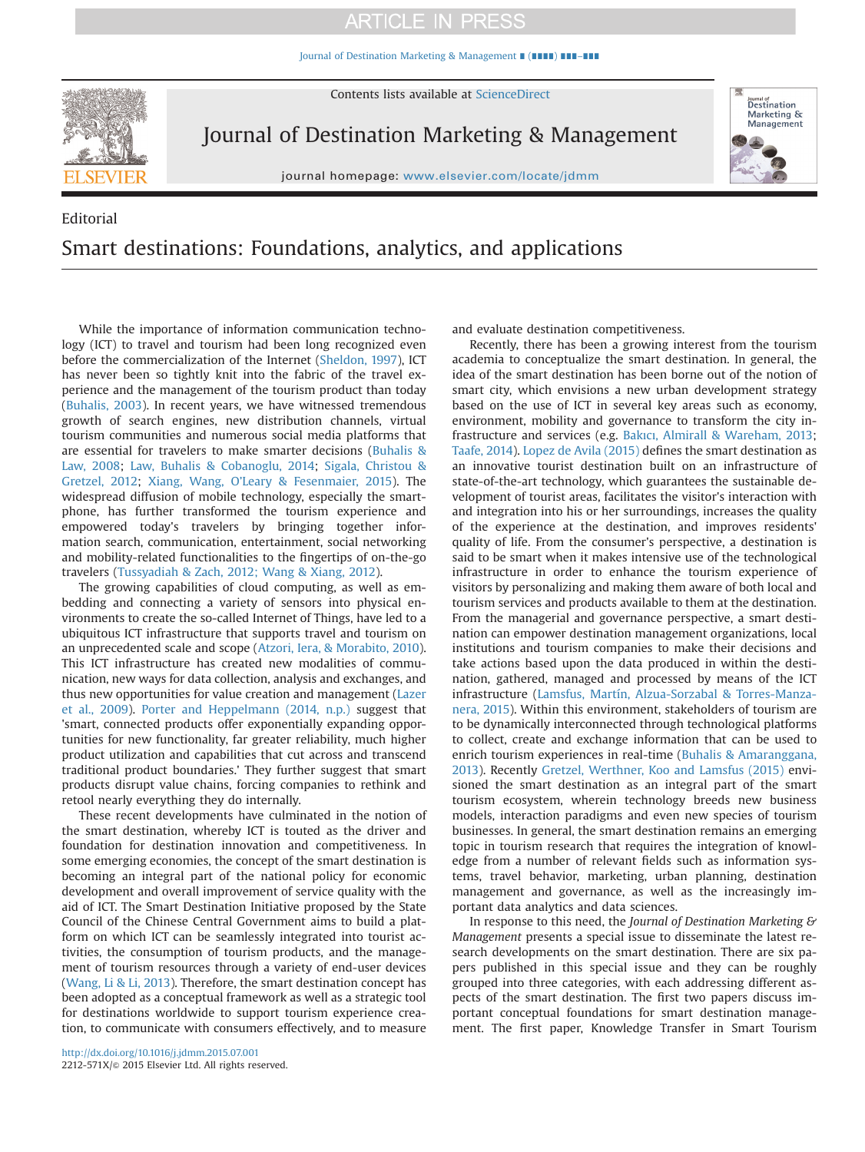## **ARTICLE IN PRESS**

[Journal of Destination Marketing & Management](http://dx.doi.org/10.1016/j.jdmm.2015.07.001) ∎ (∎∎∎∎) ∎∎∎–∎∎∎



Contents lists available at [ScienceDirect](www.sciencedirect.com/science/journal/2212571X)

Journal of Destination Marketing & Management

journal homepage: <www.elsevier.com/locate/jdmm>



# Editorial Smart destinations: Foundations, analytics, and applications

While the importance of information communication technology (ICT) to travel and tourism had been long recognized even before the commercialization of the Internet [\(Sheldon, 1997\)](#page-1-0), ICT has never been so tightly knit into the fabric of the travel experience and the management of the tourism product than today ([Buhalis, 2003\)](#page-1-0). In recent years, we have witnessed tremendous growth of search engines, new distribution channels, virtual tourism communities and numerous social media platforms that are essential for travelers to make smarter decisions ([Buhalis &](#page-1-0) [Law, 2008;](#page-1-0) [Law, Buhalis](#page-1-0) [& Cobanoglu, 2014;](#page-1-0) [Sigala, Christou &](#page-1-0) [Gretzel, 2012;](#page-1-0) [Xiang, Wang, O](#page-1-0)'Leary & [Fesenmaier, 2015](#page-1-0)). The widespread diffusion of mobile technology, especially the smartphone, has further transformed the tourism experience and empowered today's travelers by bringing together information search, communication, entertainment, social networking and mobility-related functionalities to the fingertips of on-the-go travelers [\(Tussyadiah & Zach, 2012; Wang & Xiang, 2012\)](#page-1-0).

The growing capabilities of cloud computing, as well as embedding and connecting a variety of sensors into physical environments to create the so-called Internet of Things, have led to a ubiquitous ICT infrastructure that supports travel and tourism on an unprecedented scale and scope ([Atzori, Iera,](#page-1-0) [& Morabito, 2010\)](#page-1-0). This ICT infrastructure has created new modalities of communication, new ways for data collection, analysis and exchanges, and thus new opportunities for value creation and management ([Lazer](#page-1-0) [et al., 2009](#page-1-0)). [Porter and Heppelmann \(2014, n.p.\)](#page-1-0) suggest that 'smart, connected products offer exponentially expanding opportunities for new functionality, far greater reliability, much higher product utilization and capabilities that cut across and transcend traditional product boundaries.' They further suggest that smart products disrupt value chains, forcing companies to rethink and retool nearly everything they do internally.

These recent developments have culminated in the notion of the smart destination, whereby ICT is touted as the driver and foundation for destination innovation and competitiveness. In some emerging economies, the concept of the smart destination is becoming an integral part of the national policy for economic development and overall improvement of service quality with the aid of ICT. The Smart Destination Initiative proposed by the State Council of the Chinese Central Government aims to build a platform on which ICT can be seamlessly integrated into tourist activities, the consumption of tourism products, and the management of tourism resources through a variety of end-user devices ([Wang, Li & Li, 2013](#page-1-0)). Therefore, the smart destination concept has been adopted as a conceptual framework as well as a strategic tool for destinations worldwide to support tourism experience creation, to communicate with consumers effectively, and to measure

and evaluate destination competitiveness.

Recently, there has been a growing interest from the tourism academia to conceptualize the smart destination. In general, the idea of the smart destination has been borne out of the notion of smart city, which envisions a new urban development strategy based on the use of ICT in several key areas such as economy, environment, mobility and governance to transform the city infrastructure and services (e.g. Bakıcı[, Almirall](#page-1-0) [& Wareham, 2013;](#page-1-0) [Taafe, 2014](#page-1-0)). [Lopez de Avila \(2015\)](#page-1-0) defines the smart destination as an innovative tourist destination built on an infrastructure of state-of-the-art technology, which guarantees the sustainable development of tourist areas, facilitates the visitor's interaction with and integration into his or her surroundings, increases the quality of the experience at the destination, and improves residents' quality of life. From the consumer's perspective, a destination is said to be smart when it makes intensive use of the technological infrastructure in order to enhance the tourism experience of visitors by personalizing and making them aware of both local and tourism services and products available to them at the destination. From the managerial and governance perspective, a smart destination can empower destination management organizations, local institutions and tourism companies to make their decisions and take actions based upon the data produced in within the destination, gathered, managed and processed by means of the ICT infrastructure [\(Lamsfus, Martín, Alzua-Sorzabal & Torres-Manza](#page-1-0)[nera, 2015](#page-1-0)). Within this environment, stakeholders of tourism are to be dynamically interconnected through technological platforms to collect, create and exchange information that can be used to enrich tourism experiences in real-time ([Buhalis & Amaranggana,](#page-1-0) [2013\)](#page-1-0). Recently [Gretzel, Werthner, Koo and Lamsfus \(2015\)](#page-1-0) envisioned the smart destination as an integral part of the smart tourism ecosystem, wherein technology breeds new business models, interaction paradigms and even new species of tourism businesses. In general, the smart destination remains an emerging topic in tourism research that requires the integration of knowledge from a number of relevant fields such as information systems, travel behavior, marketing, urban planning, destination management and governance, as well as the increasingly important data analytics and data sciences.

In response to this need, the Journal of Destination Marketing & Management presents a special issue to disseminate the latest research developments on the smart destination. There are six papers published in this special issue and they can be roughly grouped into three categories, with each addressing different aspects of the smart destination. The first two papers discuss important conceptual foundations for smart destination management. The first paper, Knowledge Transfer in Smart Tourism